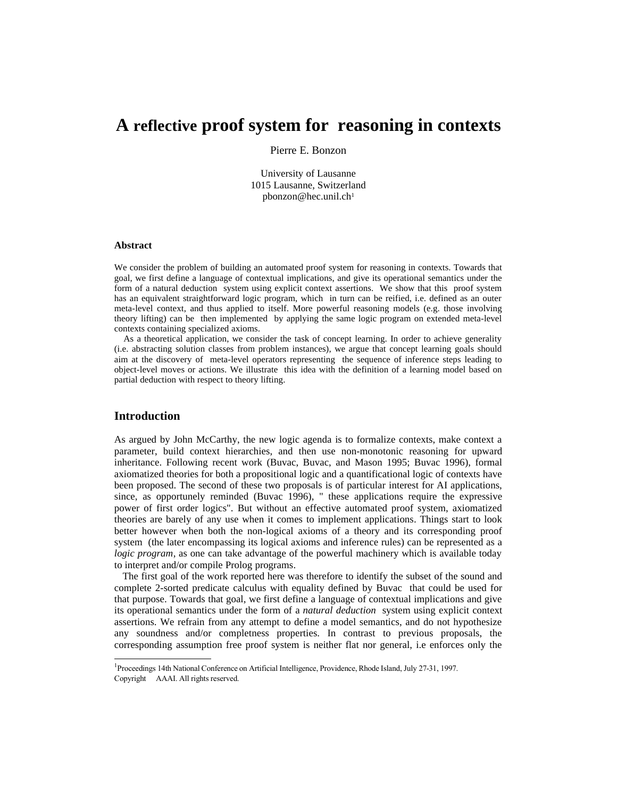# **A reflective proof system for reasoning in contexts**

Pierre E. Bonzon

University of Lausanne 1015 Lausanne, Switzerland pbonzon@hec.unil.ch[1](#page-0-0)

#### **Abstract**

We consider the problem of building an automated proof system for reasoning in contexts. Towards that goal, we first define a language of contextual implications, and give its operational semantics under the form of a natural deduction system using explicit context assertions. We show that this proof system has an equivalent straightforward logic program, which in turn can be reified, i.e. defined as an outer meta-level context, and thus applied to itself. More powerful reasoning models (e.g. those involving theory lifting) can be then implemented by applying the same logic program on extended meta-level contexts containing specialized axioms.

 As a theoretical application, we consider the task of concept learning. In order to achieve generality (i.e. abstracting solution classes from problem instances), we argue that concept learning goals should aim at the discovery of meta-level operators representing the sequence of inference steps leading to object-level moves or actions. We illustrate this idea with the definition of a learning model based on partial deduction with respect to theory lifting.

# **Introduction**

As argued by John McCarthy, the new logic agenda is to formalize contexts, make context a parameter, build context hierarchies, and then use non-monotonic reasoning for upward inheritance. Following recent work (Buvac, Buvac, and Mason 1995; Buvac 1996), formal axiomatized theories for both a propositional logic and a quantificational logic of contexts have been proposed. The second of these two proposals is of particular interest for AI applications, since, as opportunely reminded (Buvac 1996), " these applications require the expressive power of first order logics". But without an effective automated proof system, axiomatized theories are barely of any use when it comes to implement applications. Things start to look better however when both the non-logical axioms of a theory and its corresponding proof system (the later encompassing its logical axioms and inference rules) can be represented as a *logic program*, as one can take advantage of the powerful machinery which is available today to interpret and/or compile Prolog programs.

 The first goal of the work reported here was therefore to identify the subset of the sound and complete 2-sorted predicate calculus with equality defined by Buvac that could be used for that purpose. Towards that goal, we first define a language of contextual implications and give its operational semantics under the form of a *natural deduction* system using explicit context assertions. We refrain from any attempt to define a model semantics, and do not hypothesize any soundness and/or completness properties. In contrast to previous proposals, the corresponding assumption free proof system is neither flat nor general, i.e enforces only the

<span id="page-0-0"></span><sup>&</sup>lt;sup>1</sup>Proceedings 14th National Conference on Artificial Intelligence, Providence, Rhode Island, July 27-31, 1997. Copyright  $\odot$  AAAI. All rights reserved.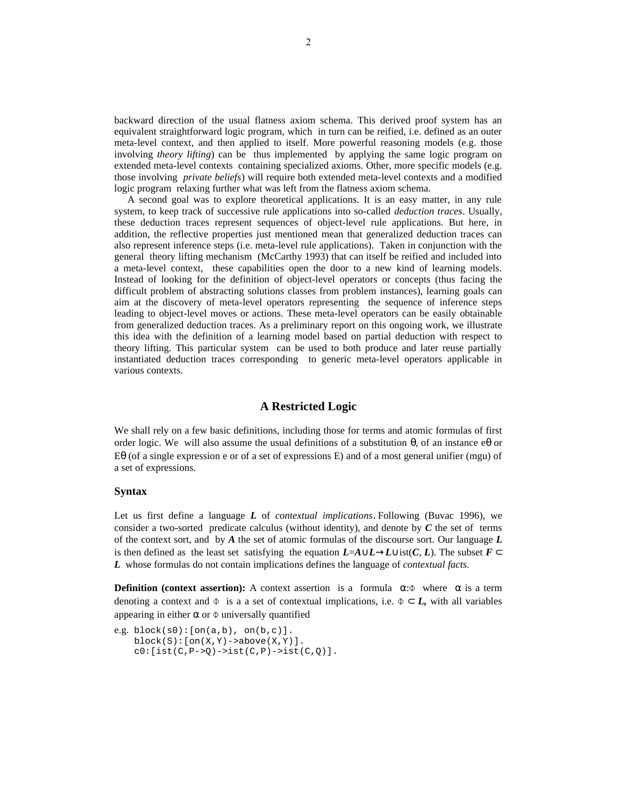backward direction of the usual flatness axiom schema. This derived proof system has an equivalent straightforward logic program, which in turn can be reified, i.e. defined as an outer meta-level context, and then applied to itself. More powerful reasoning models (e.g. those involving *theory lifting*) can be thus implemented by applying the same logic program on extended meta-level contexts containing specialized axioms. Other, more specific models (e.g. those involving *private beliefs*) will require both extended meta-level contexts and a modified logic program relaxing further what was left from the flatness axiom schema.

 A second goal was to explore theoretical applications. It is an easy matter, in any rule system, to keep track of successive rule applications into so-called *deduction traces*. Usually, these deduction traces represent sequences of object-level rule applications. But here, in addition, the reflective properties just mentioned mean that generalized deduction traces can also represent inference steps (i.e. meta-level rule applications). Taken in conjunction with the general theory lifting mechanism (McCarthy 1993) that can itself be reified and included into a meta-level context, these capabilities open the door to a new kind of learning models. Instead of looking for the definition of object-level operators or concepts (thus facing the difficult problem of abstracting solutions classes from problem instances), learning goals can aim at the discovery of meta-level operators representing the sequence of inference steps leading to object-level moves or actions. These meta-level operators can be easily obtainable from generalized deduction traces. As a preliminary report on this ongoing work, we illustrate this idea with the definition of a learning model based on partial deduction with respect to theory lifting. This particular system can be used to both produce and later reuse partially instantiated deduction traces corresponding to generic meta-level operators applicable in various contexts.

## **A Restricted Logic**

We shall rely on a few basic definitions, including those for terms and atomic formulas of first order logic. We will also assume the usual definitions of a substitution  $\theta$ , of an instance  $e\theta$  or Eθ (of a single expression e or of a set of expressions E) and of a most general unifier (mgu) of a set of expressions.

## **Syntax**

Let us first define a language *L* of *contextual implications*. Following (Buvac 1996), we consider a two-sorted predicate calculus (without identity), and denote by *C* the set of terms of the context sort, and by *A* the set of atomic formulas of the discourse sort. Our language *L* is then defined as the least set satisfying the equation  $L = A \cup L \rightarrow L \cup \text{ist}(C, L)$ . The subset  $F \subset$ *L* whose formulas do not contain implications defines the language of *contextual facts.*

**Definition (context assertion):** A context assertion is a formula  $\alpha$ : $\Phi$  where  $\alpha$  is a term denoting a context and  $\Phi$  is a a set of contextual implications, i.e.  $\Phi \subset L$ , with all variables appearing in either  $\alpha$  or  $\Phi$  universally quantified

```
e.g. block(s0):[on(a,b),on(b,c)].block(S):[on(X,Y)->above(X,Y)].c0:[ist(C,P->Q)->ist(C,P)->ist(C,Q)].
```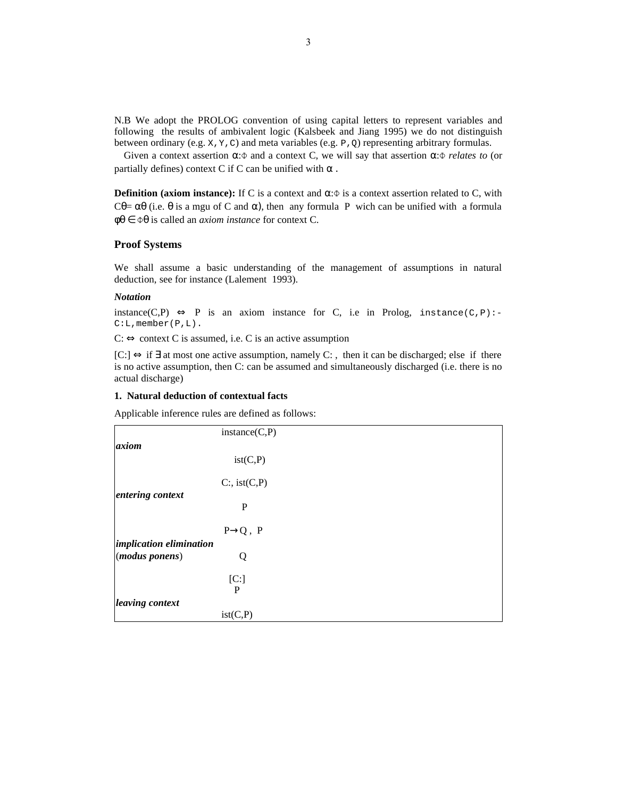N.B We adopt the PROLOG convention of using capital letters to represent variables and following the results of ambivalent logic (Kalsbeek and Jiang 1995) we do not distinguish between ordinary (e.g. x, y, c) and meta variables (e.g. P, Q) representing arbitrary formulas.

 Given a context assertion α:Φ and a context C, we will say that assertion α:Φ *relates to* (or partially defines) context C if C can be unified with  $\alpha$ .

**Definition (axiom instance):** If C is a context and  $\alpha$ : $\Phi$  is a context assertion related to C, with Cθ=  $\alpha$ θ (i.e. θ is a mgu of C and  $\alpha$ ), then any formula P wich can be unified with a formula φθ ∈ Φθ is called an *axiom instance* for context C.

## **Proof Systems**

We shall assume a basic understanding of the management of assumptions in natural deduction, see for instance (Lalement 1993).

#### *Notation*

instance(C,P)  $\Leftrightarrow$  P is an axiom instance for C, i.e in Prolog, instance(C,P):-C:L,member(P,L).

 $C: \Leftrightarrow$  context C is assumed, i.e. C is an active assumption

[C:] ⇔ if ∃ at most one active assumption, namely C: , then it can be discharged; else if there is no active assumption, then C: can be assumed and simultaneously discharged (i.e. there is no actual discharge)

## **1. Natural deduction of contextual facts**

Applicable inference rules are defined as follows:

|                         | instance(C, P)       |  |  |
|-------------------------|----------------------|--|--|
| axiom                   |                      |  |  |
|                         | ist(C,P)             |  |  |
|                         | $C$ :, ist $(C,P)$   |  |  |
| entering context        |                      |  |  |
|                         | P                    |  |  |
|                         | $P\rightarrow Q$ , P |  |  |
| implication elimination |                      |  |  |
| (modus ponens)          | Q                    |  |  |
|                         | [C:]                 |  |  |
|                         | P                    |  |  |
| leaving context         |                      |  |  |
|                         | ist(C,P)             |  |  |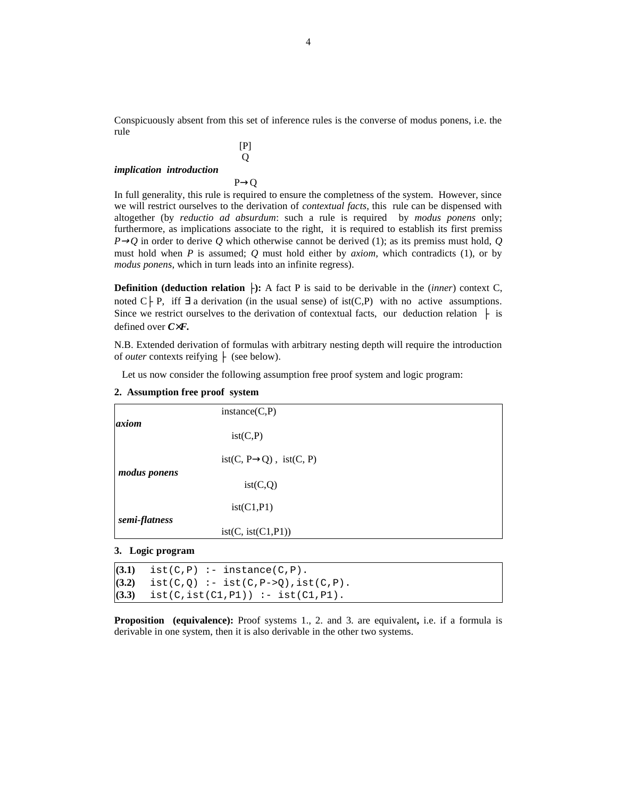Conspicuously absent from this set of inference rules is the converse of modus ponens, i.e. the rule

$$
[P]
$$
\nimplication introduction

\n
$$
P \rightarrow Q
$$

In full generality, this rule is required to ensure the completness of the system. However, since we will restrict ourselves to the derivation of *contextual facts*, this rule can be dispensed with altogether (by *reductio ad absurdum*: such a rule is required by *modus ponens* only; furthermore, as implications associate to the right, it is required to establish its first premiss  $P\rightarrow Q$  in order to derive Q which otherwise cannot be derived (1); as its premiss must hold, Q must hold when *P* is assumed; *Q* must hold either by *axiom,* which contradicts (1), or by *modus ponens*, which in turn leads into an infinite regress).

**Definition (deduction relation |-):** A fact P is said to be derivable in the *(inner)* context C, noted C | P, iff  $\exists$  a derivation (in the usual sense) of ist(C,P) with no active assumptions. Since we restrict ourselves to the derivation of contextual facts, our deduction relation  $\vdash$  is defined over *C*×*F.*

N.B. Extended derivation of formulas with arbitrary nesting depth will require the introduction of *outer* contexts reifying  $\vdash$  (see below).

Let us now consider the following assumption free proof system and logic program:

| axiom         | instance(C, P)                          |
|---------------|-----------------------------------------|
|               | ist(C,P)                                |
| modus ponens  | $ist(C, P \rightarrow Q)$ , $ist(C, P)$ |
|               | ist(C,Q)                                |
| semi-flatness | ist(C1,P1)                              |
|               | ist(C, ist(C1, P1))                     |

#### **2. Assumption free proof system**

#### **3. Logic program**

 $(3.1)$  ist(C,P) :- instance(C,P). **(3.2)** ist(C,Q) :- ist(C,P->Q),ist(C,P). **(3.3)** ist(C,ist(C1,P1)) :- ist(C1,P1).

**Proposition (equivalence):** Proof systems 1., 2. and 3. are equivalent**,** i.e. if a formula is derivable in one system, then it is also derivable in the other two systems.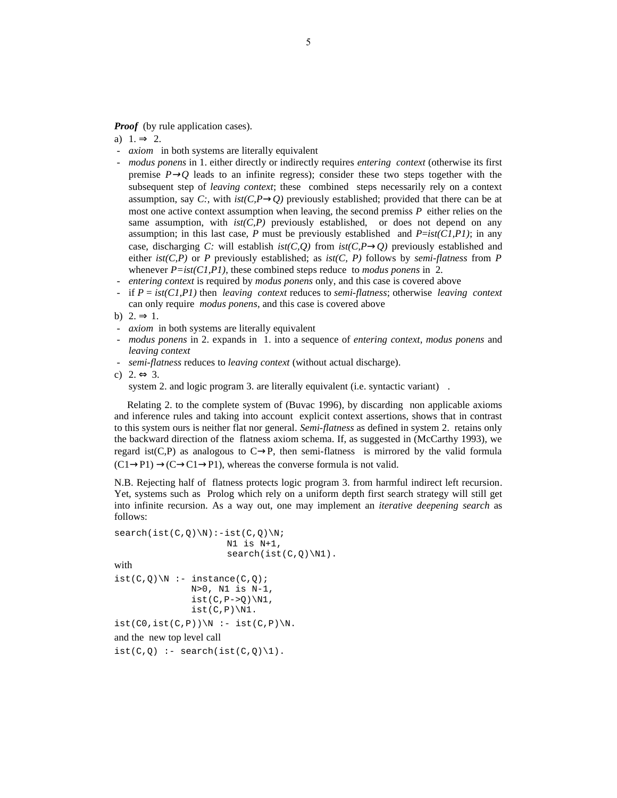*Proof* (by rule application cases).

a)  $1. \Rightarrow 2.$ 

- *axiom* in both systems are literally equivalent
- *modus ponens* in 1. either directly or indirectly requires *entering context* (otherwise its first premise  $P\rightarrow Q$  leads to an infinite regress); consider these two steps together with the subsequent step of *leaving context*; these combined steps necessarily rely on a context assumption, say *C*:, with  $ist(C, P \rightarrow Q)$  previously established; provided that there can be at most one active context assumption when leaving, the second premiss *P* either relies on the same assumption, with  $ist(C, P)$  previously established, or does not depend on any assumption; in this last case, P must be previously established and  $P=ist(CI,PI)$ ; in any case, discharging *C*: will establish  $ist(C, Q)$  from  $ist(C, P \rightarrow Q)$  previously established and either *ist(C,P)* or *P* previously established; as *ist(C, P)* follows by *semi-flatness* from *P* whenever *P=ist(C1,P1)*, these combined steps reduce to *modus ponens* in 2.
- entering context is required by *modus ponens* only, and this case is covered above
- if *P* = *ist(C1,P1)* then *leaving context* reduces to *semi-flatness*; otherwise *leaving context* can only require *modus ponens*, and this case is covered above
- b)  $2 \Rightarrow 1$ .
- *axiom* in both systems are literally equivalent
- *- modus ponens* in 2. expands in 1. into a sequence of *entering context*, *modus ponens* and *leaving context*
- *- semi-flatness* reduces to *leaving context* (without actual discharge).

c) 2.  $\Leftrightarrow$  3.

system 2. and logic program 3. are literally equivalent (i.e. syntactic variant).

 Relating 2. to the complete system of (Buvac 1996), by discarding non applicable axioms and inference rules and taking into account explicit context assertions, shows that in contrast to this system ours is neither flat nor general. *Semi-flatness* as defined in system 2. retains only the backward direction of the flatness axiom schema. If, as suggested in (McCarthy 1993), we regard ist(C,P) as analogous to  $C \rightarrow P$ , then semi-flatness is mirrored by the valid formula  $(C1\rightarrow P1) \rightarrow (C\rightarrow C1\rightarrow P1)$ , whereas the converse formula is not valid.

N.B. Rejecting half of flatness protects logic program 3. from harmful indirect left recursion. Yet, systems such as Prolog which rely on a uniform depth first search strategy will still get into infinite recursion. As a way out, one may implement an *iterative deepening search* as follows:

```
search(ist(C,Q)\N):-ist(C,Q)\N; N1 is N+1,
                     search(ist(C,Q)\N1).
with 
ist(C,Q)\N :- instance(C,Q);
               N>0, N1 is N-1,
              ist(C,P->Q)\N1,ist(C,P)\N1.
ist(C0,ist(C,P))\N : - ist(C,P)\N.and the new top level call
ist(C,0) :- search(ist(C,0) \1).
```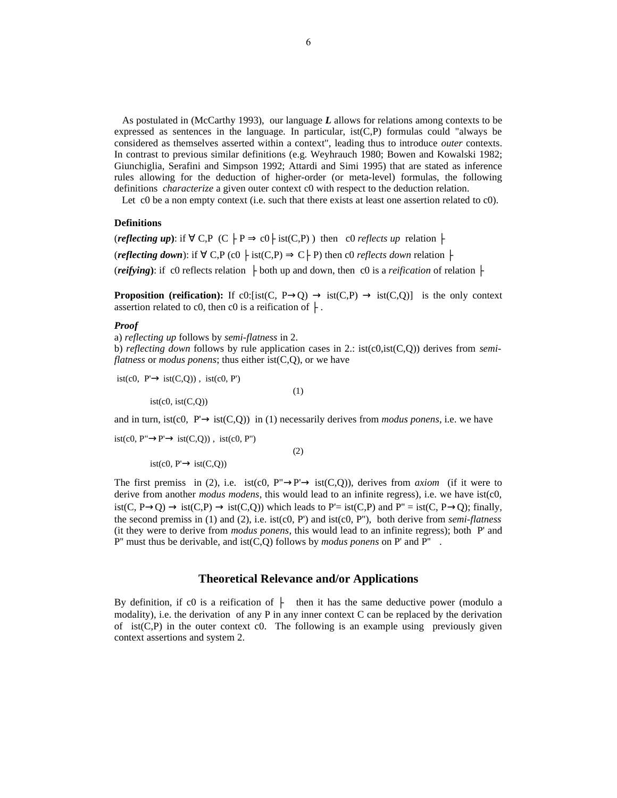As postulated in (McCarthy 1993), our language *L* allows for relations among contexts to be expressed as sentences in the language. In particular,  $ist(C,P)$  formulas could "always be considered as themselves asserted within a context", leading thus to introduce *outer* contexts. In contrast to previous similar definitions (e.g. Weyhrauch 1980; Bowen and Kowalski 1982; Giunchiglia, Serafini and Simpson 1992; Attardi and Simi 1995) that are stated as inference rules allowing for the deduction of higher-order (or meta-level) formulas, the following definitions *characterize* a given outer context c0 with respect to the deduction relation.

Let c0 be a non empty context (i.e. such that there exists at least one assertion related to c0).

#### **Definitions**

(*reflecting up*): if  $\forall$  C,P (C  $\vdash$  P  $\Rightarrow$  c0  $\vdash$  ist(C,P)) then c0 *reflects up* relation  $\vdash$ (*reflecting down*): if  $\forall$  C,P (c0  $\vdash$  ist(C,P)  $\Rightarrow$  C $\vdash$  P) then c0 *reflects down* relation  $\dashv$ (*reifying*): if c0 reflects relation  $\vdash$  both up and down, then c0 is a *reification* of relation  $\vdash$ 

**Proposition (reification):** If c0:[ist(C, P $\rightarrow$ Q)  $\rightarrow$  ist(C,P)  $\rightarrow$  ist(C,Q)] is the only context assertion related to c0, then c0 is a reification of  $\vdash$ .

#### *Proof*

a) *reflecting up* follows by *semi-flatness* in 2.

 $(1)$ 

 $\qquad \qquad (2)$ 

b) *reflecting down* follows by rule application cases in 2.: ist(c0,ist(C,Q)) derives from *semiflatness* or *modus ponens*; thus either ist(C,Q), or we have

 $ist(c0, P' \rightarrow ist(C,Q))$ ,  $ist(c0, P')$ 

 $ist(c0, ist(C,0))$ 

and in turn, ist(c0,  $P' \rightarrow \text{ist}(C,Q)$ ) in (1) necessarily derives from *modus ponens*, i.e. we have

 $\text{ist}(c0, P'' \rightarrow P' \rightarrow \text{ist}(C,Q))$ ,  $\text{ist}(c0, P'')$ 

 $ist(c0, P' \rightarrow ist(C,Q))$ 

The first premiss in (2), i.e. ist(c0, P" $\rightarrow$ P' $\rightarrow$  ist(C,Q)), derives from *axiom* (if it were to derive from another *modus modens*, this would lead to an infinite regress), i.e. we have ist(c0, ist(C, P→O) → ist(C,P) → ist(C,O)) which leads to P'= ist(C,P) and P'' = ist(C, P→O); finally, the second premiss in (1) and (2), i.e. ist(c0, P') and ist(c0, P''), both derive from *semi-flatness* (it they were to derive from *modus ponens*, this would lead to an infinite regress); both P' and P'' must thus be derivable, and ist(C,Q) follows by *modus ponens* on P' and P'' .

## **Theoretical Relevance and/or Applications**

By definition, if c0 is a reification of  $\vdash$  then it has the same deductive power (modulo a modality), i.e. the derivation of any P in any inner context C can be replaced by the derivation of ist $(C, P)$  in the outer context c0. The following is an example using previously given context assertions and system 2.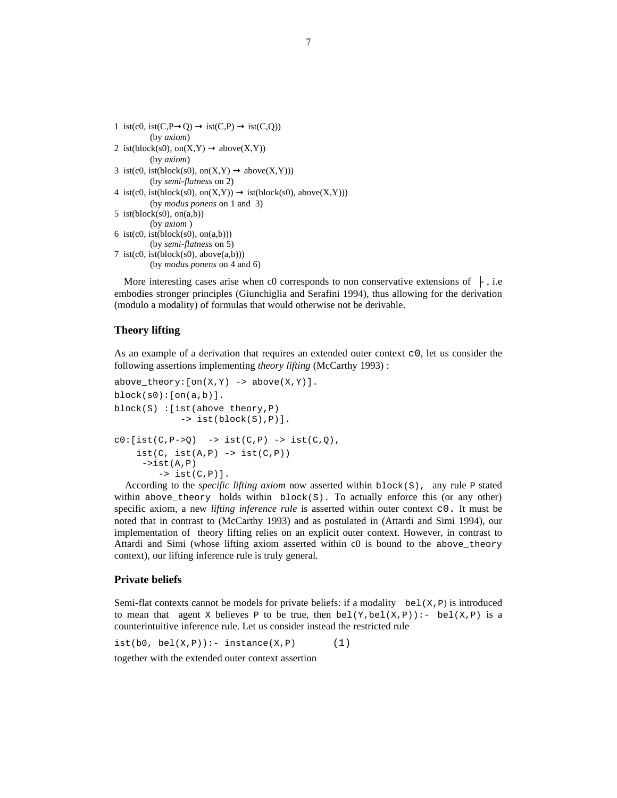```
1 ist(c0, ist(C, P \rightarrow Q) \rightarrow ist(C, P) \rightarrow ist(C, Q))
           (by axiom)
2 ist(block(s0), on(X, Y) \rightarrow above(X, Y)(by axiom)
3 ist(c0, ist(block(s0), on(X,Y) \rightarrow above(X,Y)))
           (by semi-flatness on 2)
4 ist(c0, ist(block(s0), on(X,Y)) \rightarrow ist(block(s0), above(X,Y)))
           (by modus ponens on 1 and 3)
5 ist(block(s0), on(a,b))
           (by axiom )
6 ist(c0, ist(block(s0), on(a,b)))
           (by semi-flatness on 5)
7 ist(c0, ist(block(s0), above(a,b)))
          (by modus ponens on 4 and 6)
```
More interesting cases arise when c0 corresponds to non conservative extensions of  $\vdash$ , i.e embodies stronger principles (Giunchiglia and Serafini 1994), thus allowing for the derivation (modulo a modality) of formulas that would otherwise not be derivable.

## **Theory lifting**

As an example of a derivation that requires an extended outer context  $\circ$  0, let us consider the following assertions implementing *theory lifting* (McCarthy 1993) :

```
above_{theory}: [on(X,Y) \rightarrow above(X,Y)].block(s0):[on(a,b)].block(S) :[ist(above_theory,P) 
                \rightarrow ist(block(S), P)].
c0:[ist(C,P->Q) \longrightarrow ist(C,P) \longrightarrow ist(C,Q),ist(C, ist(A,P) -> ist(C,P))\rightarrowist(A, P)\Rightarrow ist(C, P)].
```
 According to the *specific lifting axiom* now asserted within block(S), any rule P stated within above\_theory holds within  $block(S)$ . To actually enforce this (or any other) specific axiom, a new *lifting inference rule* is asserted within outer context c0. It must be noted that in contrast to (McCarthy 1993) and as postulated in (Attardi and Simi 1994), our implementation of theory lifting relies on an explicit outer context. However, in contrast to Attardi and Simi (whose lifting axiom asserted within c0 is bound to the above\_theory context), our lifting inference rule is truly general.

## **Private beliefs**

Semi-flat contexts cannot be models for private beliefs: if a modality bel( $X, P$ ) is introduced to mean that agent x believes P to be true, then  $bel(Y, bel(X, P))$ : -  $bel(X, P)$  is a counterintuitive inference rule. Let us consider instead the restricted rule

 $ist(b0, bel(X,P)):- instance(X,P)$  (1)

together with the extended outer context assertion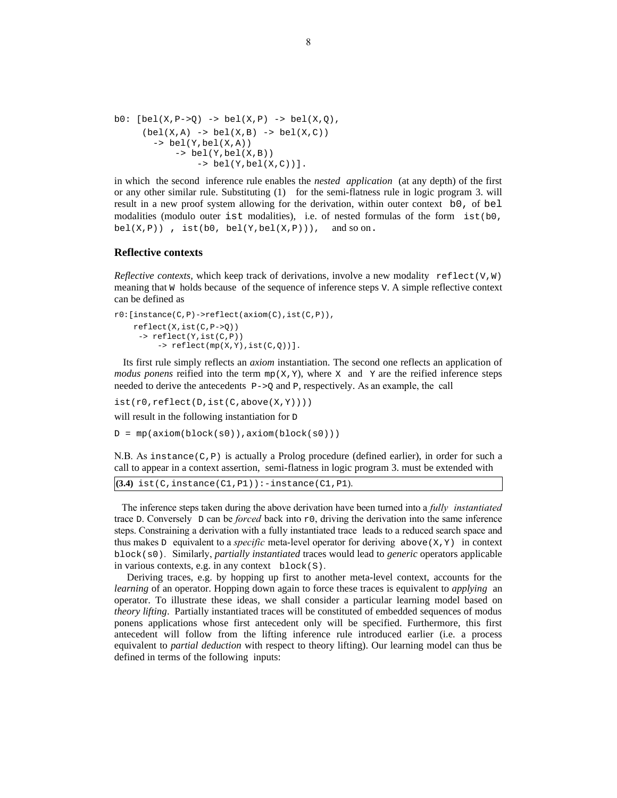```
b0: [bel(X, P->0) -> bel(X, P) -> bel(X, 0),(bel(X,A) \rightarrow bel(X,B) \rightarrow bel(X,C))\rightarrow bel(Y, bel(X,A))
               \rightarrow bel(Y, bel(X,B))
                     \rightarrow bel(Y, bel(X,C))].
```
in which the second inference rule enables the *nested application* (at any depth) of the first or any other similar rule. Substituting (1) for the semi-flatness rule in logic program 3. will result in a new proof system allowing for the derivation, within outer context b0, of bel modalities (modulo outer ist modalities), i.e. of nested formulas of the form  $ist(b0,$ bel(X,P)),  $ist(b0, bel(Y,bel(X,P)))$ , and so on.

#### **Reflective contexts**

*Reflective contexts,* which keep track of derivations, involve a new modality  $reflect(V, W)$ meaning that W holds because of the sequence of inference steps V. A simple reflective context can be defined as

```
r0:[instance(C,P)->reflect(axiom(C),ist(C,P)),
     reflect(X,ist(C,P->Q))
      -> reflect(Y,ist(C,P))
          \rightarrow reflect(mp(X,Y),ist(C,Q))].
```
 Its first rule simply reflects an *axiom* instantiation. The second one reflects an application of *modus ponens* reified into the term  $mp(X, Y)$ , where X and Y are the reified inference steps needed to derive the antecedents  $P\rightarrow Q$  and P, respectively. As an example, the call

```
ist(r0,reflect(D,ist(C,above(X,Y))))
```
will result in the following instantiation for  $D$ 

 $D = mp(axiom(bllock(s0))$ ,  $axiom(bllock(s0))$ 

N.B. As instance( $C, P$ ) is actually a Prolog procedure (defined earlier), in order for such a call to appear in a context assertion, semi-flatness in logic program 3. must be extended with

**(3.4)** ist(C,instance(C1,P1)):-instance(C1,P1).

 The inference steps taken during the above derivation have been turned into a *fully instantiated* trace D. Conversely D can be *forced* back into  $r \theta$ , driving the derivation into the same inference steps. Constraining a derivation with a fully instantiated trace leads to a reduced search space and thus makes D equivalent to a *specific* meta-level operator for deriving  $a$  above  $(X, Y)$  in context block(s0). Similarly, *partially instantiated* traces would lead to *generic* operators applicable in various contexts, e.g. in any context block(S).

 Deriving traces, e.g. by hopping up first to another meta-level context, accounts for the *learning* of an operator. Hopping down again to force these traces is equivalent to *applying* an operator. To illustrate these ideas, we shall consider a particular learning model based on *theory lifting*. Partially instantiated traces will be constituted of embedded sequences of modus ponens applications whose first antecedent only will be specified. Furthermore, this first antecedent will follow from the lifting inference rule introduced earlier (i.e. a process equivalent to *partial deduction* with respect to theory lifting). Our learning model can thus be defined in terms of the following inputs: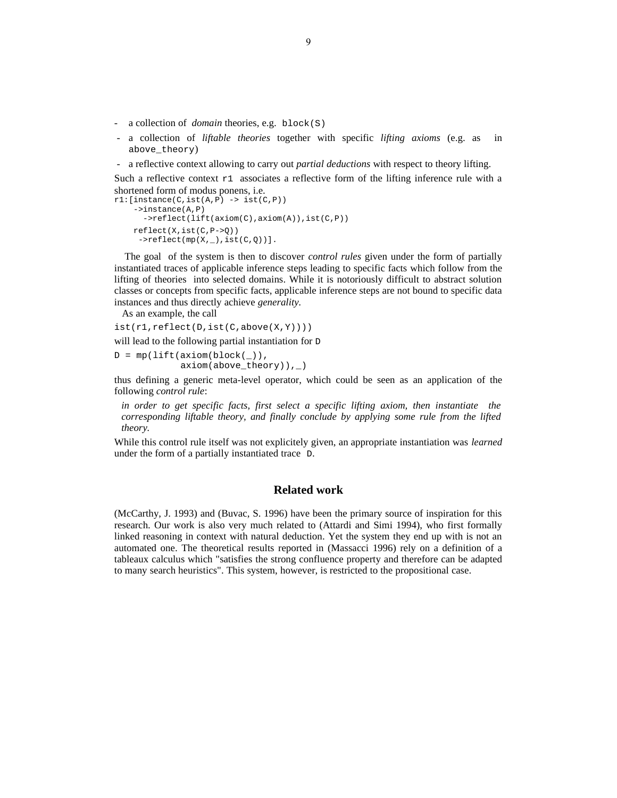- a collection of *domain* theories, e.g. block(S)
- a collection of *liftable theories* together with specific *lifting axioms* (e.g. as in above\_theory)
- a reflective context allowing to carry out *partial deductions* with respect to theory lifting.

Such a reflective context  $r1$  associates a reflective form of the lifting inference rule with a shortened form of modus ponens, i.e.

```
r1:[\text{instance}(C,\text{ist}(A,P) \rightarrow \text{ist}(C,P)) ->instance(A,P)
        ->reflect(lift(axiom(C),axiom(A)),ist(C,P))
     reflect(X,ist(C,P->Q))
      ->reflect(mp(X,_),ist(C,Q))].
```
 The goal of the system is then to discover *control rules* given under the form of partially instantiated traces of applicable inference steps leading to specific facts which follow from the lifting of theories into selected domains. While it is notoriously difficult to abstract solution classes or concepts from specific facts, applicable inference steps are not bound to specific data instances and thus directly achieve *generality.*

As an example, the call

```
ist(r1,reflect(D,ist(C,above(X,Y))))
```
will lead to the following partial instantiation for D

 $D = mp(lift(axiom(bllock()))$ , axiom(above\_theory)),\_)

thus defining a generic meta-level operator, which could be seen as an application of the following *control rule*:

*in order to get specific facts, first select a specific lifting axiom, then instantiate the corresponding liftable theory, and finally conclude by applying some rule from the lifted theory.*

While this control rule itself was not explicitely given, an appropriate instantiation was *learned* under the form of a partially instantiated trace D.

## **Related work**

(McCarthy, J. 1993) and (Buvac, S. 1996) have been the primary source of inspiration for this research. Our work is also very much related to (Attardi and Simi 1994), who first formally linked reasoning in context with natural deduction. Yet the system they end up with is not an automated one. The theoretical results reported in (Massacci 1996) rely on a definition of a tableaux calculus which "satisfies the strong confluence property and therefore can be adapted to many search heuristics". This system, however, is restricted to the propositional case.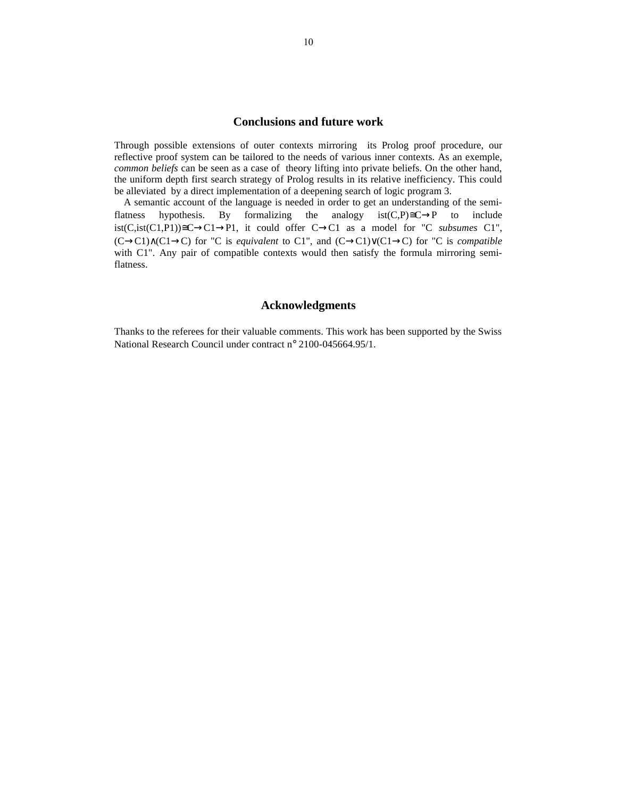# **Conclusions and future work**

Through possible extensions of outer contexts mirroring its Prolog proof procedure, our reflective proof system can be tailored to the needs of various inner contexts. As an exemple, *common beliefs* can be seen as a case of theory lifting into private beliefs. On the other hand, the uniform depth first search strategy of Prolog results in its relative inefficiency. This could be alleviated by a direct implementation of a deepening search of logic program 3.

 A semantic account of the language is needed in order to get an understanding of the semiflatness hypothesis. By formalizing the analogy  $ist(C,P)\cong C\rightarrow P$  to include ist(C,ist(C1,P1))≅C→C1→P1, it could offer  $C\rightarrow C1$  as a model for "C *subsumes* C1", (C→C1)∧(C1→C) for "C is *equivalent* to C1", and (C→C1)∨(C1→C) for "C is *compatible* with C1". Any pair of compatible contexts would then satisfy the formula mirroring semiflatness.

# **Acknowledgments**

Thanks to the referees for their valuable comments. This work has been supported by the Swiss National Research Council under contract n° 2100-045664.95/1.